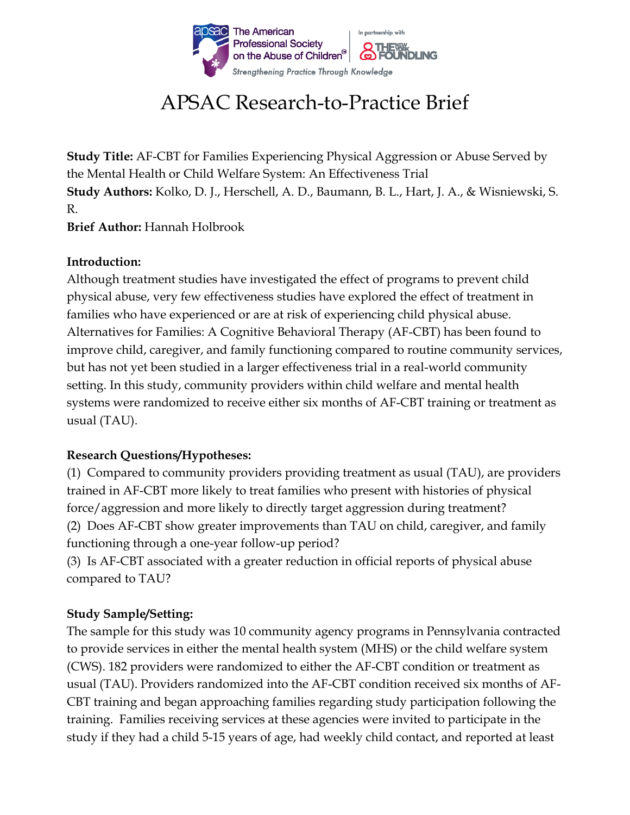

# APSAC Research-to-Practice Brief

**Study Title:** AF-CBT for Families Experiencing Physical Aggression or Abuse Served by the Mental Health or Child Welfare System: An Effectiveness Trial **Study Authors:** Kolko, D. J., Herschell, A. D., Baumann, B. L., Hart, J. A., & Wisniewski, S. R.

**Brief Author:** Hannah Holbrook

### **Introduction:**

Although treatment studies have investigated the effect of programs to prevent child physical abuse, very few effectiveness studies have explored the effect of treatment in families who have experienced or are at risk of experiencing child physical abuse. Alternatives for Families: A Cognitive Behavioral Therapy (AF-CBT) has been found to improve child, caregiver, and family functioning compared to routine community services, but has not yet been studied in a larger effectiveness trial in a real-world community setting. In this study, community providers within child welfare and mental health systems were randomized to receive either six months of AF-CBT training or treatment as usual (TAU).

## **Research Questions/Hypotheses:**

(1) Compared to community providers providing treatment as usual (TAU), are providers trained in AF-CBT more likely to treat families who present with histories of physical force/aggression and more likely to directly target aggression during treatment? (2) Does AF-CBT show greater improvements than TAU on child, caregiver, and family functioning through a one-year follow-up period?

(3) Is AF-CBT associated with a greater reduction in official reports of physical abuse compared to TAU?

## **Study Sample/Setting:**

The sample for this study was 10 community agency programs in Pennsylvania contracted to provide services in either the mental health system (MHS) or the child welfare system (CWS). 182 providers were randomized to either the AF-CBT condition or treatment as usual (TAU). Providers randomized into the AF-CBT condition received six months of AF-CBT training and began approaching families regarding study participation following the training. Families receiving services at these agencies were invited to participate in the study if they had a child 5-15 years of age, had weekly child contact, and reported at least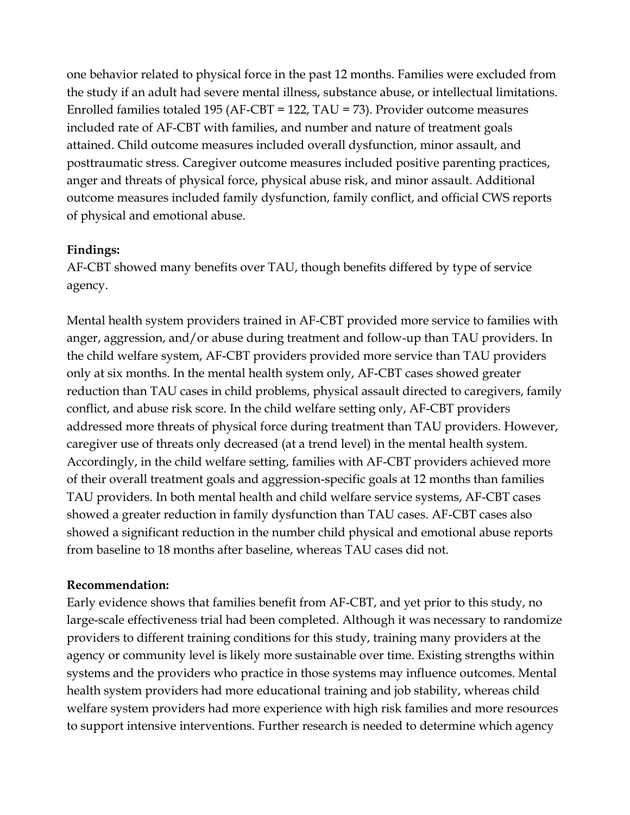one behavior related to physical force in the past 12 months. Families were excluded from the study if an adult had severe mental illness, substance abuse, or intellectual limitations. Enrolled families totaled 195 (AF-CBT = 122, TAU = 73). Provider outcome measures included rate of AF-CBT with families, and number and nature of treatment goals attained. Child outcome measures included overall dysfunction, minor assault, and posttraumatic stress. Caregiver outcome measures included positive parenting practices, anger and threats of physical force, physical abuse risk, and minor assault. Additional outcome measures included family dysfunction, family conflict, and official CWS reports of physical and emotional abuse.

### **Findings:**

AF-CBT showed many benefits over TAU, though benefits differed by type of service agency.

Mental health system providers trained in AF-CBT provided more service to families with anger, aggression, and/or abuse during treatment and follow-up than TAU providers. In the child welfare system, AF-CBT providers provided more service than TAU providers only at six months. In the mental health system only, AF-CBT cases showed greater reduction than TAU cases in child problems, physical assault directed to caregivers, family conflict, and abuse risk score. In the child welfare setting only, AF-CBT providers addressed more threats of physical force during treatment than TAU providers. However, caregiver use of threats only decreased (at a trend level) in the mental health system. Accordingly, in the child welfare setting, families with AF-CBT providers achieved more of their overall treatment goals and aggression-specific goals at 12 months than families TAU providers. In both mental health and child welfare service systems, AF-CBT cases showed a greater reduction in family dysfunction than TAU cases. AF-CBT cases also showed a significant reduction in the number child physical and emotional abuse reports from baseline to 18 months after baseline, whereas TAU cases did not.

### **Recommendation:**

Early evidence shows that families benefit from AF-CBT, and yet prior to this study, no large-scale effectiveness trial had been completed. Although it was necessary to randomize providers to different training conditions for this study, training many providers at the agency or community level is likely more sustainable over time. Existing strengths within systems and the providers who practice in those systems may influence outcomes. Mental health system providers had more educational training and job stability, whereas child welfare system providers had more experience with high risk families and more resources to support intensive interventions. Further research is needed to determine which agency